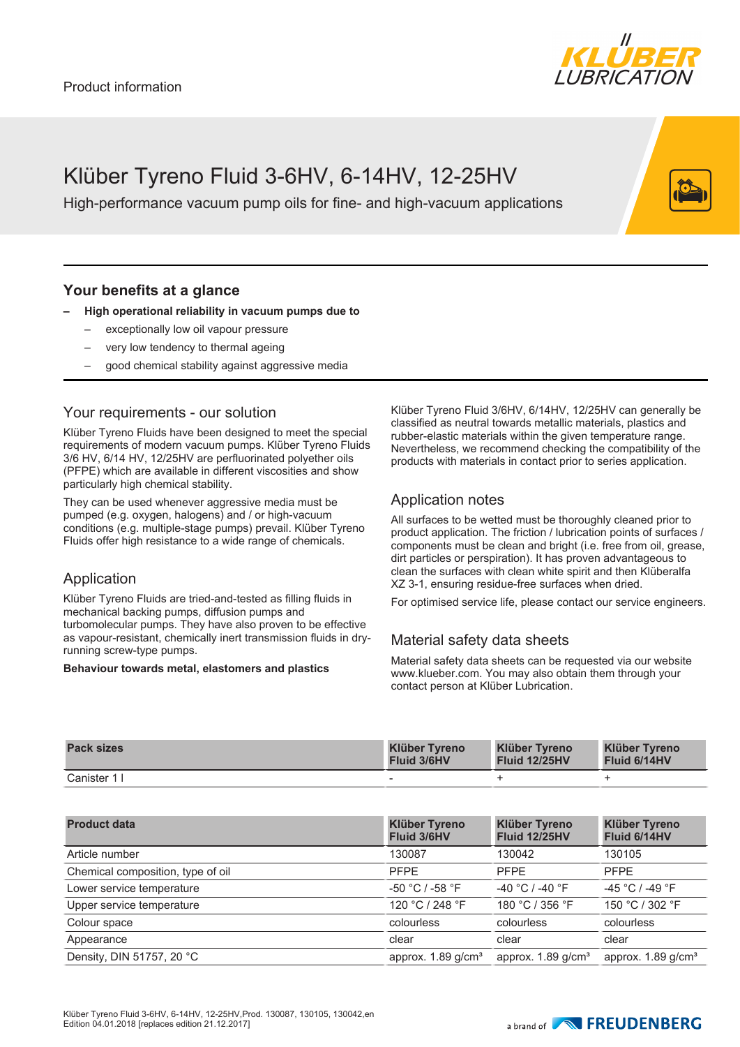

# Klüber Tyreno Fluid 3-6HV, 6-14HV, 12-25HV

High-performance vacuum pump oils for fine- and high-vacuum applications

## **Your benefits at a glance**

#### **– High operational reliability in vacuum pumps due to**

- exceptionally low oil vapour pressure
- very low tendency to thermal ageing
- good chemical stability against aggressive media

## Your requirements - our solution

Klüber Tyreno Fluids have been designed to meet the special requirements of modern vacuum pumps. Klüber Tyreno Fluids 3/6 HV, 6/14 HV, 12/25HV are perfluorinated polyether oils (PFPE) which are available in different viscosities and show particularly high chemical stability.

They can be used whenever aggressive media must be pumped (e.g. oxygen, halogens) and / or high-vacuum conditions (e.g. multiple-stage pumps) prevail. Klüber Tyreno Fluids offer high resistance to a wide range of chemicals.

### Application

Klüber Tyreno Fluids are tried-and-tested as filling fluids in mechanical backing pumps, diffusion pumps and turbomolecular pumps. They have also proven to be effective as vapour-resistant, chemically inert transmission fluids in dryrunning screw-type pumps.

#### **Behaviour towards metal, elastomers and plastics**

Klüber Tyreno Fluid 3/6HV, 6/14HV, 12/25HV can generally be classified as neutral towards metallic materials, plastics and rubber-elastic materials within the given temperature range. Nevertheless, we recommend checking the compatibility of the products with materials in contact prior to series application.

# Application notes

All surfaces to be wetted must be thoroughly cleaned prior to product application. The friction / lubrication points of surfaces / components must be clean and bright (i.e. free from oil, grease, dirt particles or perspiration). It has proven advantageous to clean the surfaces with clean white spirit and then Klüberalfa XZ 3-1, ensuring residue-free surfaces when dried.

For optimised service life, please contact our service engineers.

# Material safety data sheets

Material safety data sheets can be requested via our website www.klueber.com. You may also obtain them through your contact person at Klüber Lubrication.

| <b>Pack sizes</b> | <b>Klüber Tyreno</b>     | <b>Klüber Tyreno</b> | <b>Klüber Tyreno</b> |
|-------------------|--------------------------|----------------------|----------------------|
|                   | <b>Fluid 3/6HV</b>       | <b>Fluid 12/25HV</b> | Fluid 6/14HV         |
| Canister 1 I      | $\overline{\phantom{a}}$ |                      |                      |

| <b>Product data</b>               | <b>Klüber Tyreno</b><br>Fluid 3/6HV | <b>Klüber Tyreno</b><br><b>Fluid 12/25HV</b> | <b>Klüber Tyreno</b><br>Fluid 6/14HV |
|-----------------------------------|-------------------------------------|----------------------------------------------|--------------------------------------|
| Article number                    | 130087                              | 130042                                       | 130105                               |
| Chemical composition, type of oil | <b>PFPE</b>                         | <b>PFPE</b>                                  | <b>PFPE</b>                          |
| Lower service temperature         | $-50 °C / -58 °F$                   | $-40 °C$ / $-40 °F$                          | $-45 °C$ / $-49 °F$                  |
| Upper service temperature         | 120 °C / 248 °F                     | 180 °C / 356 °F                              | 150 °C / 302 °F                      |
| Colour space                      | colourless                          | colourless                                   | colourless                           |
| Appearance                        | clear                               | clear                                        | clear                                |
| Density, DIN 51757, 20 °C         | approx. $1.89$ g/cm <sup>3</sup>    | approx. $1.89$ g/cm <sup>3</sup>             | approx. $1.89$ g/cm <sup>3</sup>     |